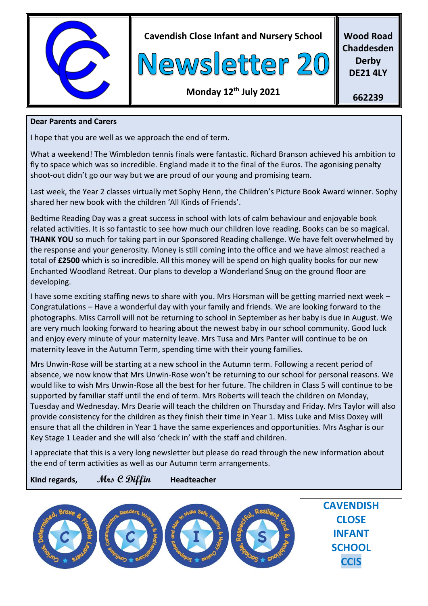

**Cavendish Close Infant and Nursery School**



**Wood Road Chaddesden Derby DE21 4LY**

## **Monday 12th July 2021**

**662239**

#### **Dear Parents and Carers**

I hope that you are well as we approach the end of term.

What a weekend! The Wimbledon tennis finals were fantastic. Richard Branson achieved his ambition to fly to space which was so incredible. England made it to the final of the Euros. The agonising penalty shoot-out didn't go our way but we are proud of our young and promising team.

Last week, the Year 2 classes virtually met Sophy Henn, the Children's Picture Book Award winner. Sophy shared her new book with the children 'All Kinds of Friends'.

Bedtime Reading Day was a great success in school with lots of calm behaviour and enjoyable book related activities. It is so fantastic to see how much our children love reading. Books can be so magical. **THANK YOU** so much for taking part in our Sponsored Reading challenge. We have felt overwhelmed by the response and your generosity. Money is still coming into the office and we have almost reached a total of **£2500** which is so incredible. All this money will be spend on high quality books for our new Enchanted Woodland Retreat. Our plans to develop a Wonderland Snug on the ground floor are developing.

I have some exciting staffing news to share with you. Mrs Horsman will be getting married next week – Congratulations – Have a wonderful day with your family and friends. We are looking forward to the photographs. Miss Carroll will not be returning to school in September as her baby is due in August. We are very much looking forward to hearing about the newest baby in our school community. Good luck and enjoy every minute of your maternity leave. Mrs Tusa and Mrs Panter will continue to be on maternity leave in the Autumn Term, spending time with their young families.

Mrs Unwin-Rose will be starting at a new school in the Autumn term. Following a recent period of absence, we now know that Mrs Unwin-Rose won't be returning to our school for personal reasons. We would like to wish Mrs Unwin-Rose all the best for her future. The children in Class 5 will continue to be supported by familiar staff until the end of term. Mrs Roberts will teach the children on Monday, Tuesday and Wednesday. Mrs Dearie will teach the children on Thursday and Friday. Mrs Taylor will also provide consistency for the children as they finish their time in Year 1. Miss Luke and Miss Doxey will ensure that all the children in Year 1 have the same experiences and opportunities. Mrs Asghar is our Key Stage 1 Leader and she will also 'check in' with the staff and children.

I appreciate that this is a very long newsletter but please do read through the new information about the end of term activities as well as our Autumn term arrangements.

**Kind regards, Mrs C Diffin Headteacher**

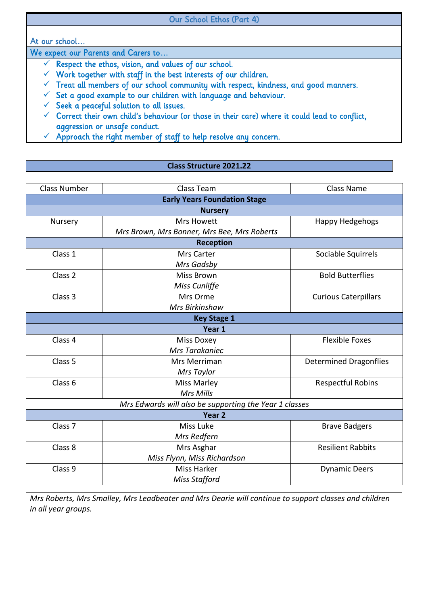#### Our School Ethos (Part 4)

At our school…

We expect our Parents and Carers to…

- $\checkmark$  Respect the ethos, vision, and values of our school.
- $\checkmark$  Work together with staff in the best interests of our children.
- $\checkmark$  Treat all members of our school community with respect, kindness, and good manners.
- $\checkmark$  Set a good example to our children with language and behaviour.
- $\checkmark$  Seek a peaceful solution to all issues.
- $\checkmark$  Correct their own child's behaviour (or those in their care) where it could lead to conflict, aggression or unsafe conduct.
- $\checkmark$  Approach the right member of staff to help resolve any concern.

#### **Class Structure 2021.22**

| <b>Class Number</b>                                    | Class Team                                  | <b>Class Name</b>             |  |
|--------------------------------------------------------|---------------------------------------------|-------------------------------|--|
| <b>Early Years Foundation Stage</b>                    |                                             |                               |  |
|                                                        | <b>Nursery</b>                              |                               |  |
| Nursery                                                | <b>Mrs Howett</b>                           | Happy Hedgehogs               |  |
|                                                        | Mrs Brown, Mrs Bonner, Mrs Bee, Mrs Roberts |                               |  |
|                                                        | <b>Reception</b>                            |                               |  |
| Class 1                                                | Mrs Carter                                  | Sociable Squirrels            |  |
|                                                        | Mrs Gadsby                                  |                               |  |
| Class 2                                                | <b>Miss Brown</b>                           | <b>Bold Butterflies</b>       |  |
|                                                        | Miss Cunliffe                               |                               |  |
| Class 3                                                | Mrs Orme                                    | <b>Curious Caterpillars</b>   |  |
|                                                        | Mrs Birkinshaw                              |                               |  |
|                                                        | <b>Key Stage 1</b>                          |                               |  |
|                                                        | Year 1                                      |                               |  |
| Class 4                                                | <b>Miss Doxey</b>                           | <b>Flexible Foxes</b>         |  |
|                                                        | Mrs Tarakaniec                              |                               |  |
| Class 5                                                | Mrs Merriman                                | <b>Determined Dragonflies</b> |  |
|                                                        | Mrs Taylor                                  |                               |  |
| Class <sub>6</sub>                                     | Miss Marley                                 | <b>Respectful Robins</b>      |  |
|                                                        | Mrs Mills                                   |                               |  |
| Mrs Edwards will also be supporting the Year 1 classes |                                             |                               |  |
| Year <sub>2</sub>                                      |                                             |                               |  |
| Class <sub>7</sub>                                     | Miss Luke                                   | <b>Brave Badgers</b>          |  |
|                                                        | Mrs Redfern                                 |                               |  |
| Class 8                                                | Mrs Asghar                                  | <b>Resilient Rabbits</b>      |  |
|                                                        | Miss Flynn, Miss Richardson                 |                               |  |
| Class 9                                                | <b>Miss Harker</b>                          | <b>Dynamic Deers</b>          |  |
|                                                        | Miss Stafford                               |                               |  |

*Mrs Roberts, Mrs Smalley, Mrs Leadbeater and Mrs Dearie will continue to support classes and children in all year groups.*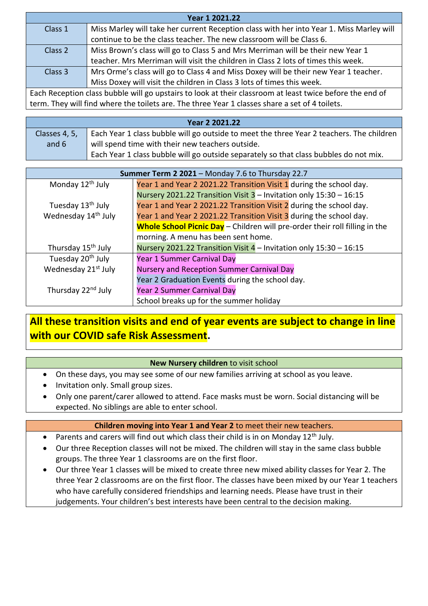| Year 1 2021.22                                                                                           |                                                                                          |  |
|----------------------------------------------------------------------------------------------------------|------------------------------------------------------------------------------------------|--|
| Class 1                                                                                                  | Miss Marley will take her current Reception class with her into Year 1. Miss Marley will |  |
|                                                                                                          | continue to be the class teacher. The new classroom will be Class 6.                     |  |
| Class 2                                                                                                  | Miss Brown's class will go to Class 5 and Mrs Merriman will be their new Year 1          |  |
|                                                                                                          | teacher. Mrs Merriman will visit the children in Class 2 lots of times this week.        |  |
| Class 3                                                                                                  | Mrs Orme's class will go to Class 4 and Miss Doxey will be their new Year 1 teacher.     |  |
|                                                                                                          | Miss Doxey will visit the children in Class 3 lots of times this week.                   |  |
| Each Reception class bubble will go upstairs to look at their classroom at least twice before the end of |                                                                                          |  |

term. They will find where the toilets are. The three Year 1 classes share a set of 4 toilets.

| Year 2 2021.22 |                                                                                          |
|----------------|------------------------------------------------------------------------------------------|
| Classes 4, 5,  | Each Year 1 class bubble will go outside to meet the three Year 2 teachers. The children |
| and 6          | will spend time with their new teachers outside.                                         |
|                | Each Year 1 class bubble will go outside separately so that class bubbles do not mix.    |

| Summer Term 2 2021 - Monday 7.6 to Thursday 22.7 |                                                                             |  |
|--------------------------------------------------|-----------------------------------------------------------------------------|--|
| Monday 12 <sup>th</sup> July                     | Year 1 and Year 2 2021.22 Transition Visit 1 during the school day.         |  |
|                                                  | Nursery 2021.22 Transition Visit 3 - Invitation only 15:30 - 16:15          |  |
| Tuesday 13 <sup>th</sup> July                    | Year 1 and Year 2 2021.22 Transition Visit 2 during the school day.         |  |
| Wednesday 14 <sup>th</sup> July                  | Year 1 and Year 2 2021.22 Transition Visit 3 during the school day.         |  |
|                                                  | Whole School Picnic Day - Children will pre-order their roll filling in the |  |
|                                                  | morning. A menu has been sent home.                                         |  |
| Thursday 15 <sup>th</sup> July                   | Nursery 2021.22 Transition Visit 4 - Invitation only 15:30 - 16:15          |  |
| Tuesday 20 <sup>th</sup> July                    | Year 1 Summer Carnival Day                                                  |  |
| Wednesday 21 <sup>st</sup> July                  | Nursery and Reception Summer Carnival Day                                   |  |
|                                                  | Year 2 Graduation Events during the school day.                             |  |
| Thursday 22 <sup>nd</sup> July                   | Year 2 Summer Carnival Day                                                  |  |
|                                                  | School breaks up for the summer holiday                                     |  |

# **All these transition visits and end of year events are subject to change in line with our COVID safe Risk Assessment.**

### **New Nursery children** to visit school

- On these days, you may see some of our new families arriving at school as you leave.
- Invitation only. Small group sizes.
- Only one parent/carer allowed to attend. Face masks must be worn. Social distancing will be expected. No siblings are able to enter school.

### **Children moving into Year 1 and Year 2** to meet their new teachers.

- Parents and carers will find out which class their child is in on Monday  $12<sup>th</sup>$  July.
- Our three Reception classes will not be mixed. The children will stay in the same class bubble groups. The three Year 1 classrooms are on the first floor.
- Our three Year 1 classes will be mixed to create three new mixed ability classes for Year 2. The three Year 2 classrooms are on the first floor. The classes have been mixed by our Year 1 teachers who have carefully considered friendships and learning needs. Please have trust in their judgements. Your children's best interests have been central to the decision making.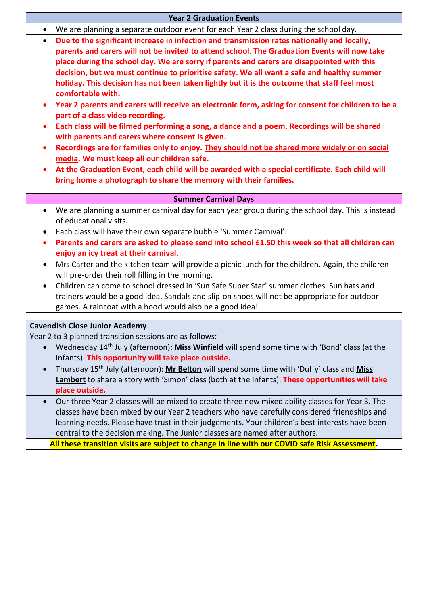|           | <b>Year 2 Graduation Events</b>                                                                                    |
|-----------|--------------------------------------------------------------------------------------------------------------------|
| $\bullet$ | We are planning a separate outdoor event for each Year 2 class during the school day.                              |
| $\bullet$ | Due to the significant increase in infection and transmission rates nationally and locally,                        |
|           | parents and carers will not be invited to attend school. The Graduation Events will now take                       |
|           | place during the school day. We are sorry if parents and carers are disappointed with this                         |
|           | decision, but we must continue to prioritise safety. We all want a safe and healthy summer                         |
|           | holiday. This decision has not been taken lightly but it is the outcome that staff feel most                       |
|           | comfortable with.                                                                                                  |
| $\bullet$ | Year 2 parents and carers will receive an electronic form, asking for consent for children to be a                 |
|           | part of a class video recording.                                                                                   |
| $\bullet$ | Each class will be filmed performing a song, a dance and a poem. Recordings will be shared                         |
|           | with parents and carers where consent is given.                                                                    |
| $\bullet$ | Recordings are for families only to enjoy. They should not be shared more widely or on social                      |
|           | media. We must keep all our children safe.                                                                         |
|           | At the Graduation Event, each child will be awarded with a special certificate. Each child will                    |
|           | bring home a photograph to share the memory with their families.                                                   |
|           | <b>Summer Carnival Days</b>                                                                                        |
| $\bullet$ | We are planning a summer carnival day for each year group during the school day. This is instead                   |
|           | of educational visits.                                                                                             |
| ٠         | Each class will have their own separate bubble 'Summer Carnival'.                                                  |
| $\bullet$ | Parents and carers are asked to please send into school £1.50 this week so that all children can                   |
|           | enjoy an icy treat at their carnival.                                                                              |
| $\bullet$ | Mrs Carter and the kitchen team will provide a picnic lunch for the children. Again, the children                  |
|           | will pre-order their roll filling in the morning.                                                                  |
| $\bullet$ | Children can come to school dressed in 'Sun Safe Super Star' summer clothes. Sun hats and                          |
|           | trainers would be a good idea. Sandals and slip-on shoes will not be appropriate for outdoor                       |
|           | games. A raincoat with a hood would also be a good idea!                                                           |
|           |                                                                                                                    |
|           | <b>Cavendish Close Junior Academy</b>                                                                              |
|           | Year 2 to 3 planned transition sessions are as follows:                                                            |
|           | Wednesday 14 <sup>th</sup> July (afternoon): Miss Winfield will spend some time with 'Bond' class (at the          |
|           | Infants). This opportunity will take place outside.                                                                |
|           | Thursday 15 <sup>th</sup> July (afternoon): Mr Belton will spend some time with 'Duffy' class and Miss             |
|           | Lambert to share a story with 'Simon' class (both at the Infants). These opportunities will take                   |
|           |                                                                                                                    |
|           | place outside.<br>Our three Year 2 classes will be mixed to create three new mixed ability classes for Year 3. The |

classes have been mixed by our Year 2 teachers who have carefully considered friendships and learning needs. Please have trust in their judgements. Your children's best interests have been central to the decision making. The Junior classes are named after authors.

**All these transition visits are subject to change in line with our COVID safe Risk Assessment.**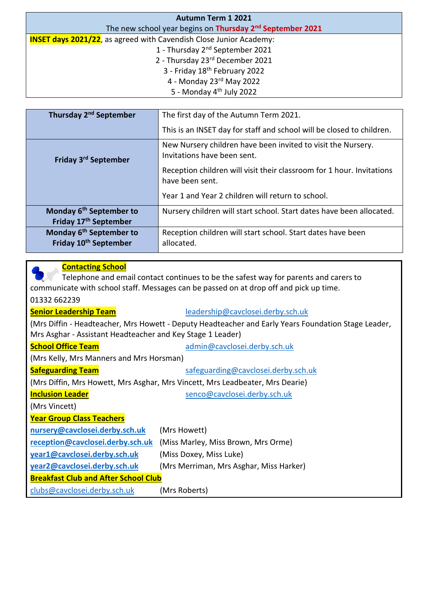| <b>Autumn Term 1 2021</b>                                                  |
|----------------------------------------------------------------------------|
| The new school year begins on Thursday 2 <sup>nd</sup> September 2021      |
| <b>INSET days 2021/22</b> , as agreed with Cavendish Close Junior Academy: |
| 1 - Thursday 2 <sup>nd</sup> September 2021                                |
| 2 - Thursday 23rd December 2021                                            |
| 3 - Friday 18 <sup>th</sup> February 2022                                  |
| 4 - Monday $23^{rd}$ May 2022                                              |
| 5 - Monday 4 <sup>th</sup> July 2022                                       |

| Thursday 2 <sup>nd</sup> September                                       | The first day of the Autumn Term 2021.                                                      |
|--------------------------------------------------------------------------|---------------------------------------------------------------------------------------------|
|                                                                          | This is an INSET day for staff and school will be closed to children.                       |
| Friday 3 <sup>rd</sup> September                                         | New Nursery children have been invited to visit the Nursery.<br>Invitations have been sent. |
|                                                                          | Reception children will visit their classroom for 1 hour. Invitations<br>have been sent.    |
|                                                                          | Year 1 and Year 2 children will return to school.                                           |
| Monday 6 <sup>th</sup> September to                                      | Nursery children will start school. Start dates have been allocated.                        |
| Friday 17 <sup>th</sup> September                                        |                                                                                             |
| Monday 6 <sup>th</sup> September to<br>Friday 10 <sup>th</sup> September | Reception children will start school. Start dates have been<br>allocated.                   |
|                                                                          |                                                                                             |

## **Contacting School** Telephone and email contact continues to be the safest way for parents and carers to communicate with school staff. Messages can be passed on at drop off and pick up time. 01332 662239 **Senior Leadership Team** [leadership@cavclosei.derby.sch.uk](mailto:leadership@cavclosei.derby.sch.uk) (Mrs Diffin - Headteacher, Mrs Howett - Deputy Headteacher and Early Years Foundation Stage Leader, Mrs Asghar - Assistant Headteacher and Key Stage 1 Leader) **School Office Team** [admin@cavclosei.derby.sch.uk](mailto:admin@cavclosei.derby.sch.uk) (Mrs Kelly, Mrs Manners and Mrs Horsman) **Safeguarding Team** [safeguarding@cavclosei.derby.sch.uk](mailto:safeguarding@cavclosei.derby.sch.uk) (Mrs Diffin, Mrs Howett, Mrs Asghar, Mrs Vincett, Mrs Leadbeater, Mrs Dearie) **Inclusion Leader** and the [senco@cavclosei.derby.sch.uk](mailto:senco@cavclosei.derby.sch.uk) (Mrs Vincett) **Year Group Class Teachers [nursery@cavclosei.derby.sch.uk](mailto:nursery@cavclosei.derby.sch.uk)** (Mrs Howett) **[reception@cavclosei.derby.sch.uk](mailto:reception@cavclosei.derby.sch.uk)** (Miss Marley, Miss Brown, Mrs Orme) **[year1@cavclosei.derby.sch.uk](mailto:year1@cavclosei.derby.sch.uk)** (Miss Doxey, Miss Luke) **[year2@cavclosei.derby.sch.uk](mailto:year2@cavclosei.derby.sch.uk)** (Mrs Merriman, Mrs Asghar, Miss Harker) **Breakfast Club and After School Club** [clubs@cavclosei.derby.sch.uk](mailto:clubs@cavclosei.derby.sch.uk) (Mrs Roberts)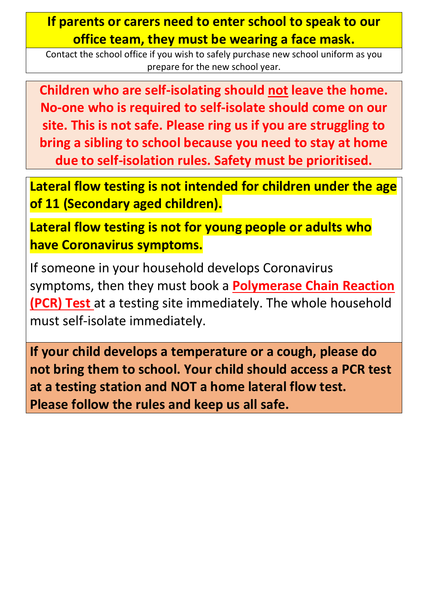# **If parents or carers need to enter school to speak to our office team, they must be wearing a face mask.**

Contact the school office if you wish to safely purchase new school uniform as you prepare for the new school year.

**Children who are self-isolating should not leave the home. No-one who is required to self-isolate should come on our site. This is not safe. Please ring us if you are struggling to bring a sibling to school because you need to stay at home due to self-isolation rules. Safety must be prioritised.**

**Lateral flow testing is not intended for children under the age of 11 (Secondary aged children).**

**Lateral flow testing is not for young people or adults who have Coronavirus symptoms.**

If someone in your household develops Coronavirus symptoms, then they must book a **Polymerase Chain Reaction (PCR) Test** at a testing site immediately. The whole household must self-isolate immediately.

**If your child develops a temperature or a cough, please do not bring them to school. Your child should access a PCR test at a testing station and NOT a home lateral flow test. Please follow the rules and keep us all safe.**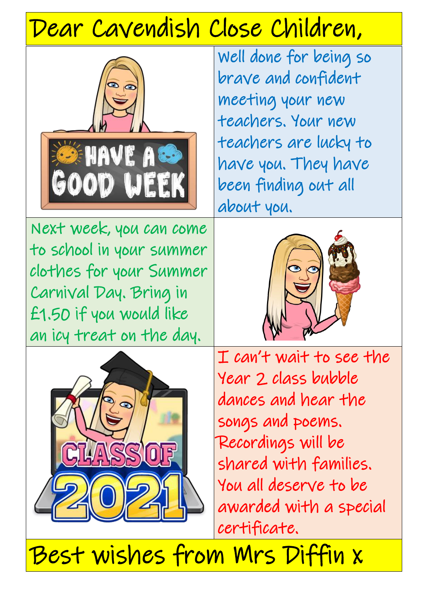# Dear Cavendish Close Children,



Well done for being so brave and confident meeting your new teachers. Your new teachers are lucky to have you. They have been finding out all about you.

Next week, you can come to school in your summer clothes for your Summer Carnival Day. Bring in £1.50 if you would like an icy treat on the day.





I can't wait to see the Year 2 class bubble dances and hear the songs and poems. Recordings will be shared with families. You all deserve to be awarded with a special certificate.

Best wishes from Mrs Diffin x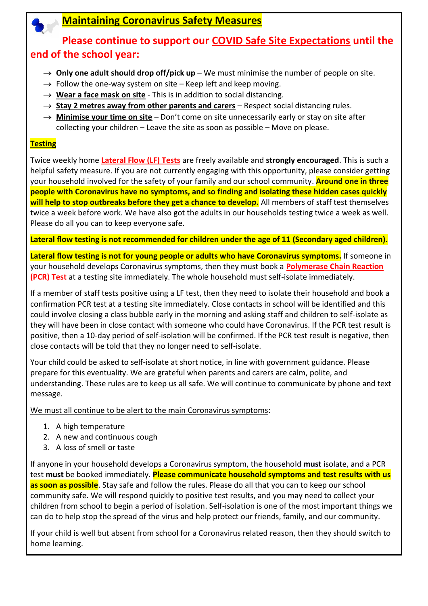# **Maintaining Coronavirus Safety Measures**

# **Please continue to support our COVID Safe Site Expectations until the end of the school year:**

- $\rightarrow$  **Only one adult should drop off/pick up** We must minimise the number of people on site.
- $\rightarrow$  Follow the one-way system on site Keep left and keep moving.
- $\rightarrow$  Wear a face mask on site This is in addition to social distancing.
- $\rightarrow$  **Stay 2 metres away from other parents and carers** Respect social distancing rules.
- → **Minimise your time on site** Don't come on site unnecessarily early or stay on site after collecting your children – Leave the site as soon as possible – Move on please.

#### **Testing**

Twice weekly home **Lateral Flow (LF) Tests** are freely available and **strongly encouraged**. This is such a helpful safety measure. If you are not currently engaging with this opportunity, please consider getting your household involved for the safety of your family and our school community. **Around one in three people with Coronavirus have no symptoms, and so finding and isolating these hidden cases quickly will help to stop outbreaks before they get a chance to develop.** All members of staff test themselves twice a week before work. We have also got the adults in our households testing twice a week as well. Please do all you can to keep everyone safe.

**Lateral flow testing is not recommended for children under the age of 11 (Secondary aged children).**

**Lateral flow testing is not for young people or adults who have Coronavirus symptoms.** If someone in your household develops Coronavirus symptoms, then they must book a **Polymerase Chain Reaction (PCR) Test** at a testing site immediately. The whole household must self-isolate immediately.

If a member of staff tests positive using a LF test, then they need to isolate their household and book a confirmation PCR test at a testing site immediately. Close contacts in school will be identified and this could involve closing a class bubble early in the morning and asking staff and children to self-isolate as they will have been in close contact with someone who could have Coronavirus. If the PCR test result is positive, then a 10-day period of self-isolation will be confirmed. If the PCR test result is negative, then close contacts will be told that they no longer need to self-isolate.

Your child could be asked to self-isolate at short notice, in line with government guidance. Please prepare for this eventuality. We are grateful when parents and carers are calm, polite, and understanding. These rules are to keep us all safe. We will continue to communicate by phone and text message.

We must all continue to be alert to the main Coronavirus symptoms:

- 1. A high temperature
- 2. A new and continuous cough
- 3. A loss of smell or taste

If anyone in your household develops a Coronavirus symptom, the household **must** isolate, and a PCR test **must** be booked immediately. **Please communicate household symptoms and test results with us as soon as possible**. Stay safe and follow the rules. Please do all that you can to keep our school community safe. We will respond quickly to positive test results, and you may need to collect your children from school to begin a period of isolation. Self-isolation is one of the most important things we can do to help stop the spread of the virus and help protect our friends, family, and our community.

If your child is well but absent from school for a Coronavirus related reason, then they should switch to home learning.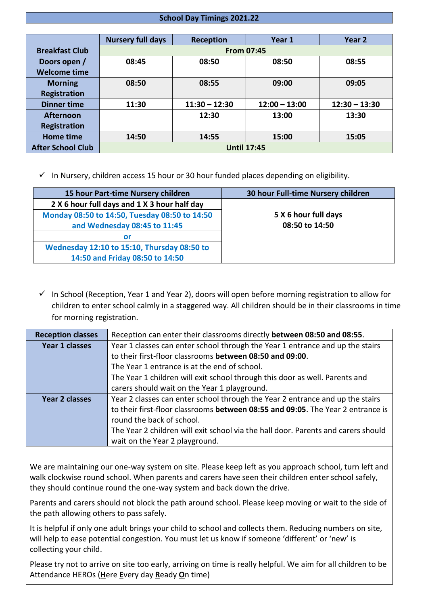#### **School Day Timings 2021.22**

|                          | <b>Nursery full days</b> | Reception       | Year 1          | Year 2          |
|--------------------------|--------------------------|-----------------|-----------------|-----------------|
| <b>Breakfast Club</b>    | <b>From 07:45</b>        |                 |                 |                 |
| Doors open /             | 08:45                    | 08:50           | 08:50           | 08:55           |
| <b>Welcome time</b>      |                          |                 |                 |                 |
| <b>Morning</b>           | 08:50                    | 08:55           | 09:00           | 09:05           |
| <b>Registration</b>      |                          |                 |                 |                 |
| <b>Dinner time</b>       | 11:30                    | $11:30 - 12:30$ | $12:00 - 13:00$ | $12:30 - 13:30$ |
| <b>Afternoon</b>         |                          | 12:30           | 13:00           | 13:30           |
| Registration             |                          |                 |                 |                 |
| <b>Home time</b>         | 14:50                    | 14:55           | 15:00           | 15:05           |
| <b>After School Club</b> | <b>Until 17:45</b>       |                 |                 |                 |

 $\checkmark$  In Nursery, children access 15 hour or 30 hour funded places depending on eligibility.

| 15 hour Part-time Nursery children            | 30 hour Full-time Nursery children |
|-----------------------------------------------|------------------------------------|
| 2 X 6 hour full days and 1 X 3 hour half day  |                                    |
| Monday 08:50 to 14:50, Tuesday 08:50 to 14:50 | 5 X 6 hour full days               |
| and Wednesday 08:45 to 11:45                  | 08:50 to 14:50                     |
| <b>or</b>                                     |                                    |
| Wednesday 12:10 to 15:10, Thursday 08:50 to   |                                    |
| 14:50 and Friday 08:50 to 14:50               |                                    |

 $\checkmark$  In School (Reception, Year 1 and Year 2), doors will open before morning registration to allow for children to enter school calmly in a staggered way. All children should be in their classrooms in time for morning registration.

| <b>Reception classes</b> | Reception can enter their classrooms directly between 08:50 and 08:55.            |  |
|--------------------------|-----------------------------------------------------------------------------------|--|
| Year 1 classes           | Year 1 classes can enter school through the Year 1 entrance and up the stairs     |  |
|                          | to their first-floor classrooms between 08:50 and 09:00.                          |  |
|                          | The Year 1 entrance is at the end of school.                                      |  |
|                          | The Year 1 children will exit school through this door as well. Parents and       |  |
|                          | carers should wait on the Year 1 playground.                                      |  |
| Year 2 classes           | Year 2 classes can enter school through the Year 2 entrance and up the stairs     |  |
|                          | to their first-floor classrooms between 08:55 and 09:05. The Year 2 entrance is   |  |
|                          | round the back of school.                                                         |  |
|                          | The Year 2 children will exit school via the hall door. Parents and carers should |  |
|                          | wait on the Year 2 playground.                                                    |  |

We are maintaining our one-way system on site. Please keep left as you approach school, turn left and walk clockwise round school. When parents and carers have seen their children enter school safely, they should continue round the one-way system and back down the drive.

Parents and carers should not block the path around school. Please keep moving or wait to the side of the path allowing others to pass safely.

It is helpful if only one adult brings your child to school and collects them. Reducing numbers on site, will help to ease potential congestion. You must let us know if someone 'different' or 'new' is collecting your child.

Please try not to arrive on site too early, arriving on time is really helpful. We aim for all children to be Attendance HEROs (**H**ere **E**very day **R**eady **O**n time)